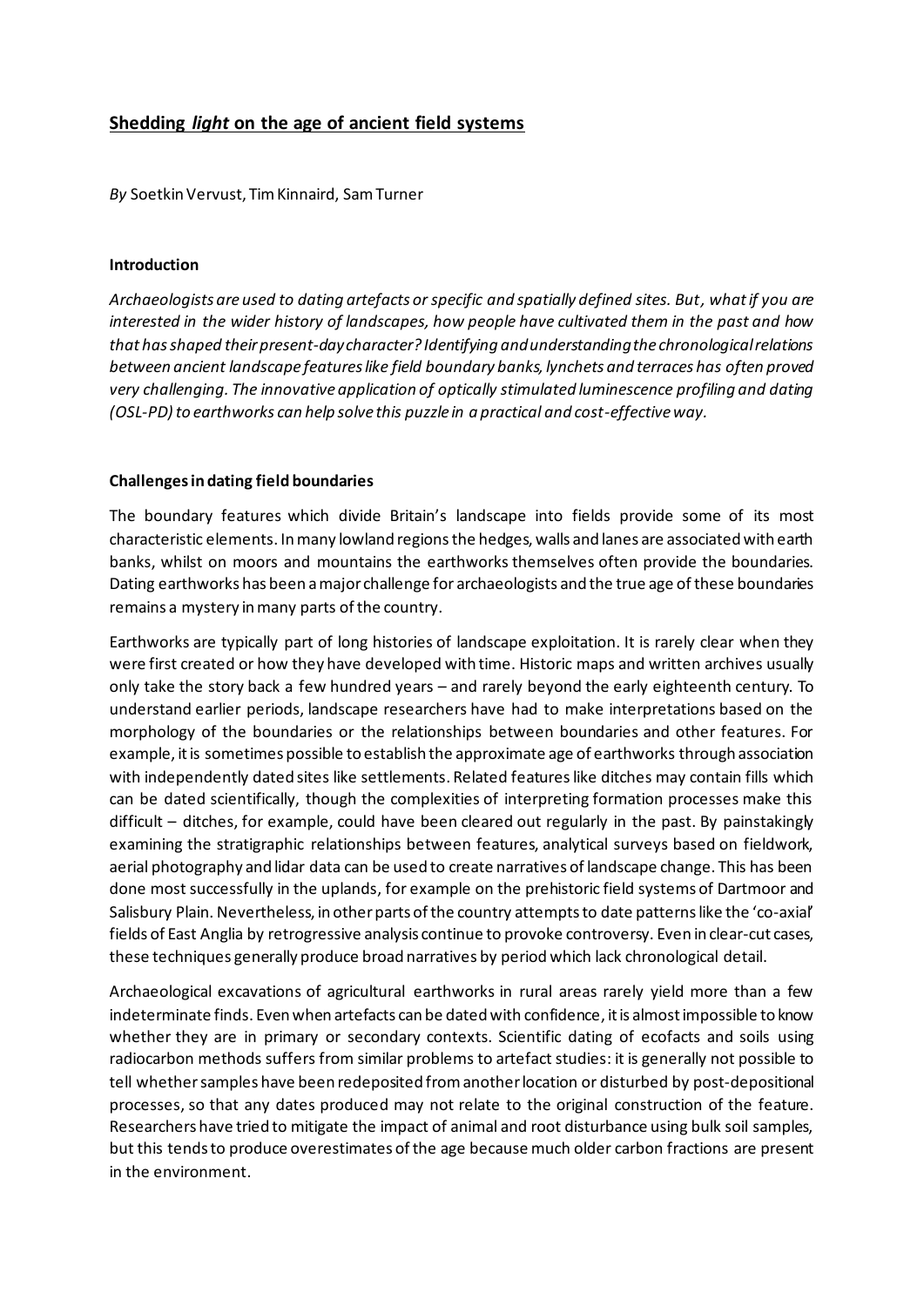# **Shedding** *light* **on the age of ancient field systems**

*By* SoetkinVervust, Tim Kinnaird, Sam Turner

#### **Introduction**

*Archaeologists are used to dating artefacts or specific and spatially defined sites. But, what if you are interested in the wider history of landscapes, how people have cultivated them in the past and how that has shaped their present-day character? Identifying and understanding the chronological relations between ancient landscape features like field boundary banks, lynchets and terraces has often proved very challenging. The innovative application of optically stimulated luminescence profiling and dating (OSL-PD) to earthworks can help solve this puzzle in a practical and cost-effective way.*

## **Challenges in dating field boundaries**

The boundary features which divide Britain's landscape into fields provide some of its most characteristic elements. In many lowland regions the hedges, walls and lanes are associated with earth banks, whilst on moors and mountains the earthworks themselves often provide the boundaries. Dating earthworks has been a major challenge for archaeologists and the true age of these boundaries remains a mystery in many parts of the country.

Earthworks are typically part of long histories of landscape exploitation. It is rarely clear when they were first created or how they have developed with time. Historic maps and written archives usually only take the story back a few hundred years – and rarely beyond the early eighteenth century. To understand earlier periods, landscape researchers have had to make interpretations based on the morphology of the boundaries or the relationships between boundaries and other features. For example, it is sometimes possible to establish the approximate age of earthworks through association with independently dated sites like settlements. Related features like ditches may contain fills which can be dated scientifically, though the complexities of interpreting formation processes make this difficult – ditches, for example, could have been cleared out regularly in the past. By painstakingly examining the stratigraphic relationships between features, analytical surveys based on fieldwork, aerial photography and lidar data can be used to create narratives of landscape change. This has been done most successfully in the uplands, for example on the prehistoric field systems of Dartmoor and Salisbury Plain. Nevertheless, in other parts of the country attempts to date patterns like the 'co-axial' fields of East Anglia by retrogressive analysis continue to provoke controversy. Even in clear-cut cases, these techniques generally produce broad narratives by period which lack chronological detail.

Archaeological excavations of agricultural earthworks in rural areas rarely yield more than a few indeterminate finds. Even when artefacts can be dated with confidence, it is almost impossible to know whether they are in primary or secondary contexts. Scientific dating of ecofacts and soils using radiocarbon methods suffers from similar problems to artefact studies: it is generally not possible to tell whether samples have been redeposited from another location or disturbed by post-depositional processes, so that any dates produced may not relate to the original construction of the feature. Researchers have tried to mitigate the impact of animal and root disturbance using bulk soil samples, but this tends to produce overestimates of the age because much older carbon fractions are present in the environment.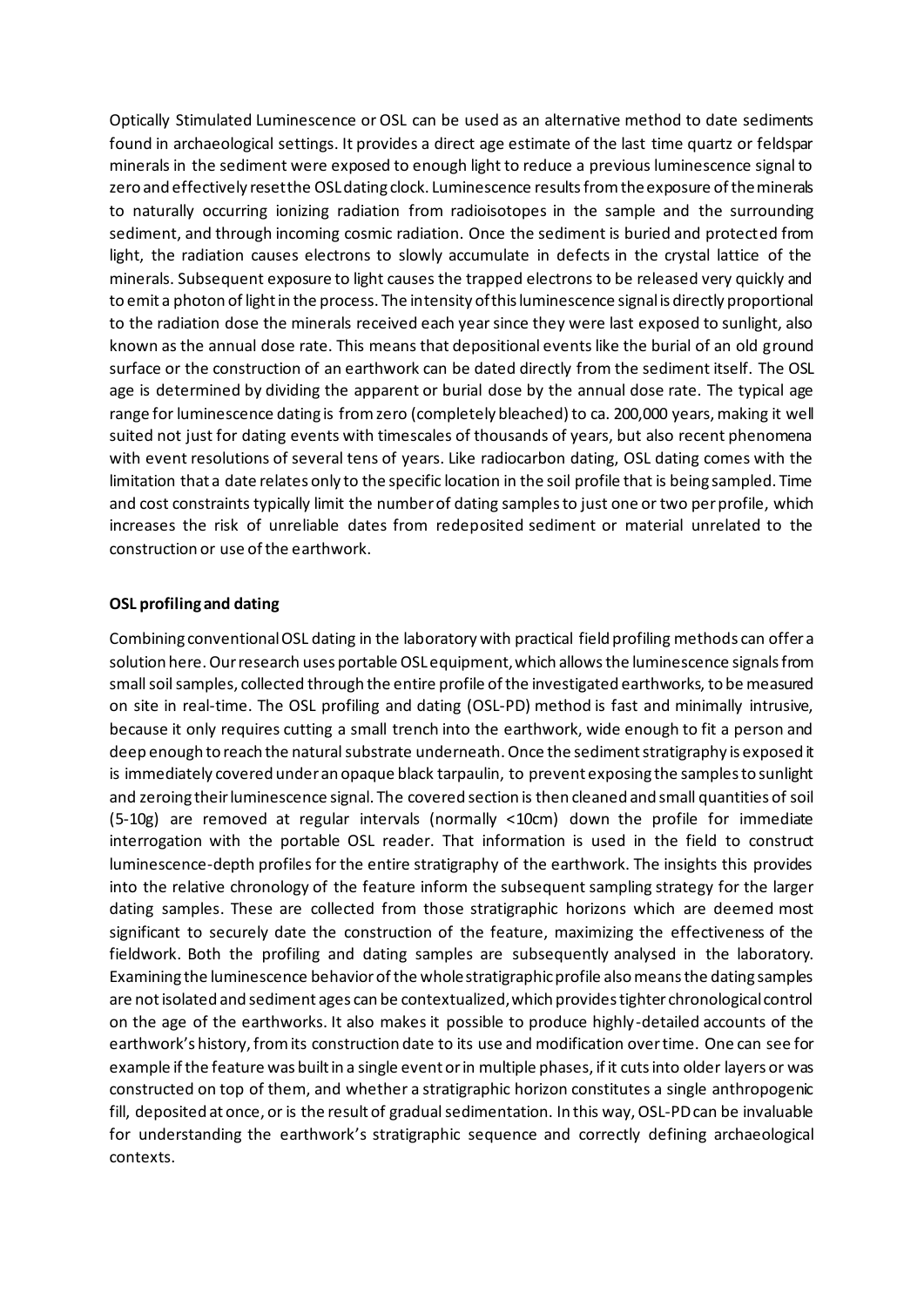Optically Stimulated Luminescence or OSL can be used as an alternative method to date sediments found in archaeological settings. It provides a direct age estimate of the last time quartz or feldspar minerals in the sediment were exposed to enough light to reduce a previous luminescence signal to zero and effectively reset the OSL dating clock. Luminescence resultsfrom the exposure of the minerals to naturally occurring ionizing radiation from radioisotopes in the sample and the surrounding sediment, and through incoming cosmic radiation. Once the sediment is buried and protected from light, the radiation causes electrons to slowly accumulate in defects in the crystal lattice of the minerals. Subsequent exposure to light causes the trapped electrons to be released very quickly and to emit a photon of light in the process. The intensity of this luminescence signal is directly proportional to the radiation dose the minerals received each year since they were last exposed to sunlight, also known as the annual dose rate. This means that depositional events like the burial of an old ground surface or the construction of an earthwork can be dated directly from the sediment itself. The OSL age is determined by dividing the apparent or burial dose by the annual dose rate. The typical age range for luminescence dating is from zero (completely bleached) to ca. 200,000 years, making it well suited not just for dating events with timescales of thousands of years, but also recent phenomena with event resolutions of several tens of years. Like radiocarbon dating, OSL dating comes with the limitation that a date relates only to the specific location in the soil profile that is being sampled. Time and cost constraints typically limit the number of dating samples to just one or two per profile, which increases the risk of unreliable dates from redeposited sediment or material unrelated to the construction or use of the earthwork.

### **OSL profiling and dating**

Combining conventional OSL dating in the laboratory with practical field profiling methods can offer a solution here. Our research uses portable OSL equipment, which allows the luminescence signals from small soil samples, collected through the entire profile of the investigated earthworks, to be measured on site in real-time. The OSL profiling and dating (OSL-PD) method is fast and minimally intrusive, because it only requires cutting a small trench into the earthwork, wide enough to fit a person and deep enough to reach the natural substrate underneath. Once the sediment stratigraphy is exposed it is immediately covered under an opaque black tarpaulin, to prevent exposing the samples to sunlight and zeroing their luminescence signal. The covered section is then cleaned and small quantities of soil (5-10g) are removed at regular intervals (normally <10cm) down the profile for immediate interrogation with the portable OSL reader. That information is used in the field to construct luminescence-depth profiles for the entire stratigraphy of the earthwork. The insights this provides into the relative chronology of the feature inform the subsequent sampling strategy for the larger dating samples. These are collected from those stratigraphic horizons which are deemed most significant to securely date the construction of the feature, maximizing the effectiveness of the fieldwork. Both the profiling and dating samples are subsequently analysed in the laboratory. Examining the luminescence behavior of the whole stratigraphic profile also means the dating samples are not isolated and sediment ages can be contextualized, which provides tighter chronological control on the age of the earthworks. It also makes it possible to produce highly-detailed accounts of the earthwork's history, from its construction date to its use and modification over time. One can see for example if the feature was built in a single event or in multiple phases, if it cuts into older layers or was constructed on top of them, and whether a stratigraphic horizon constitutes a single anthropogenic fill, deposited at once, or is the result of gradual sedimentation. In this way, OSL-PD can be invaluable for understanding the earthwork's stratigraphic sequence and correctly defining archaeological contexts.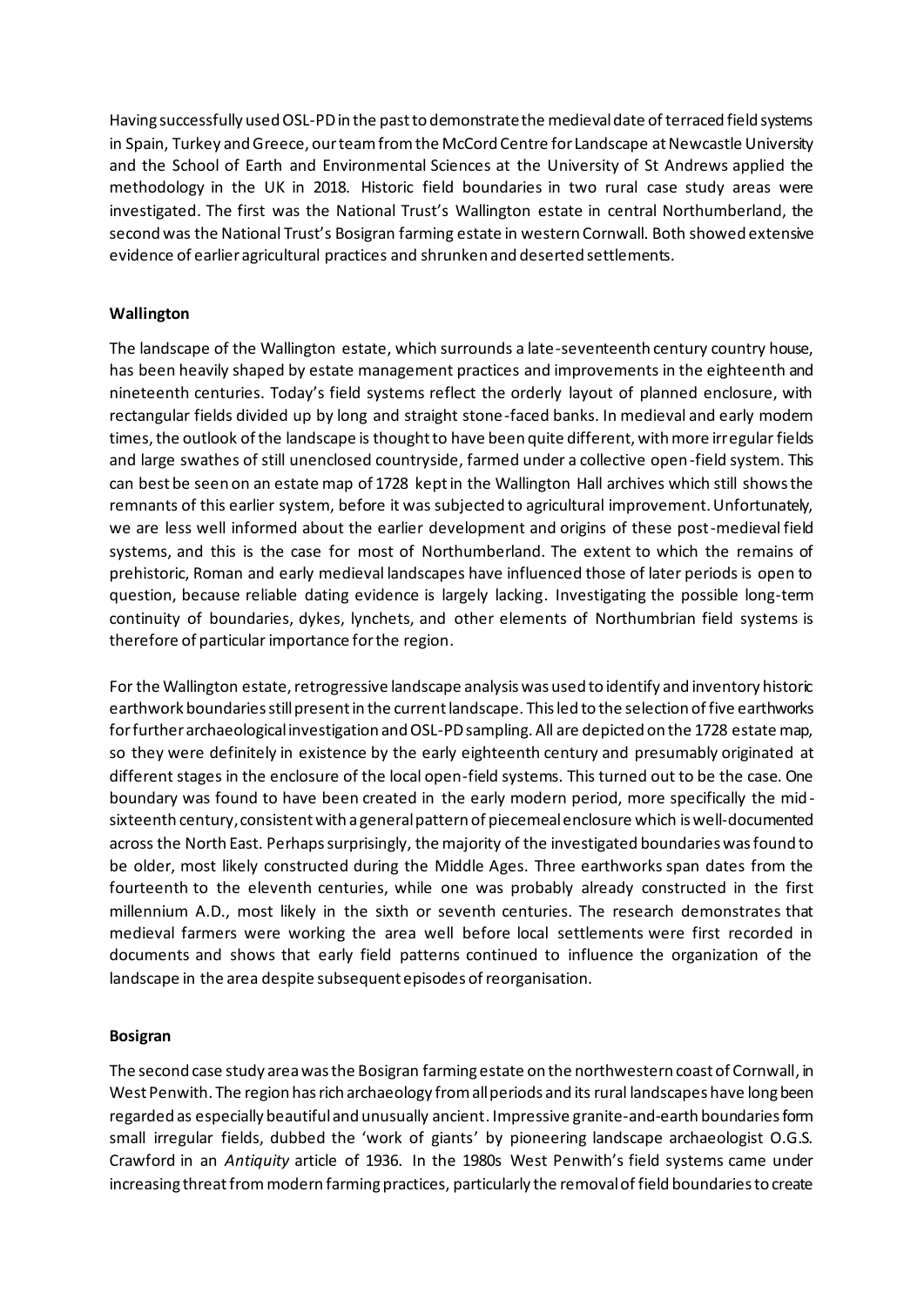Having successfully used OSL-PD in the past to demonstrate the medieval date of terraced field systems in Spain, Turkey and Greece, our team from the McCord Centre for Landscape at Newcastle University and the School of Earth and Environmental Sciences at the University of St Andrews applied the methodology in the UK in 2018. Historic field boundaries in two rural case study areas were investigated. The first was the National Trust's Wallington estate in central Northumberland, the second was the National Trust's Bosigran farming estate in western Cornwall. Both showed extensive evidence of earlier agricultural practices and shrunken and deserted settlements.

### **Wallington**

The landscape of the Wallington estate, which surrounds a late-seventeenth century country house, has been heavily shaped by estate management practices and improvements in the eighteenth and nineteenth centuries. Today's field systems reflect the orderly layout of planned enclosure, with rectangular fields divided up by long and straight stone-faced banks. In medieval and early modern times, the outlook of the landscape is thought to have been quite different, with more irregular fields and large swathes of still unenclosed countryside, farmed under a collective open-field system. This can best be seen on an estate map of 1728 kept in the Wallington Hall archives which still shows the remnants of this earlier system, before it was subjected to agricultural improvement. Unfortunately, we are less well informed about the earlier development and origins of these post-medieval field systems, and this is the case for most of Northumberland. The extent to which the remains of prehistoric, Roman and early medieval landscapes have influenced those of later periods is open to question, because reliable dating evidence is largely lacking. Investigating the possible long-term continuity of boundaries, dykes, lynchets, and other elements of Northumbrian field systems is therefore of particular importance for the region.

For the Wallington estate, retrogressive landscape analysis was used to identify and inventory historic earthwork boundaries still present in the current landscape. This led to the selection of five earthworks for further archaeological investigation and OSL-PD sampling. All are depicted on the 1728 estate map, so they were definitely in existence by the early eighteenth century and presumably originated at different stages in the enclosure of the local open-field systems. This turned out to be the case. One boundary was found to have been created in the early modern period, more specifically the midsixteenth century, consistent with a general pattern of piecemeal enclosure which is well-documented across the North East. Perhaps surprisingly, the majority of the investigated boundaries was found to be older, most likely constructed during the Middle Ages. Three earthworks span dates from the fourteenth to the eleventh centuries, while one was probably already constructed in the first millennium A.D., most likely in the sixth or seventh centuries. The research demonstrates that medieval farmers were working the area well before local settlements were first recorded in documents and shows that early field patterns continued to influence the organization of the landscape in the area despite subsequent episodes of reorganisation.

#### **Bosigran**

The second case study area was the Bosigran farming estate on the northwestern coast of Cornwall, in West Penwith. The region has rich archaeology from all periods and its rural landscapes have long been regarded as especially beautiful and unusually ancient. Impressive granite-and-earth boundaries form small irregular fields, dubbed the 'work of giants' by pioneering landscape archaeologist O.G.S. Crawford in an *Antiquity* article of 1936. In the 1980s West Penwith's field systems came under increasing threat frommodern farming practices, particularly the removal of field boundaries to create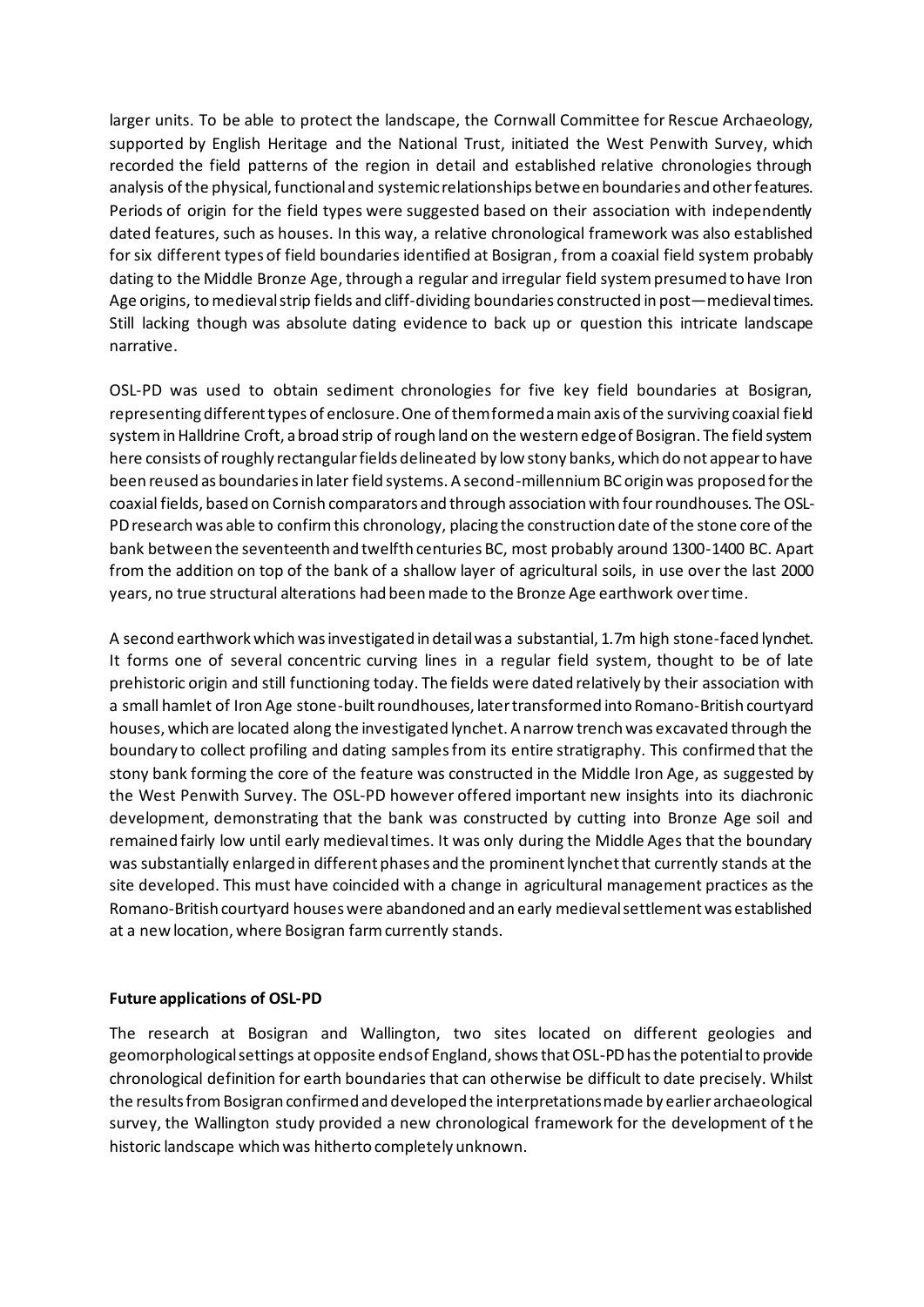larger units. To be able to protect the landscape, the Cornwall Committee for Rescue Archaeology, supported by English Heritage and the National Trust, initiated the West Penwith Survey, which recorded the field patterns of the region in detail and established relative chronologies through analysis of the physical, functional and systemic relationships between boundaries and other features. Periods of origin for the field types were suggested based on their association with independently dated features, such as houses. In this way, a relative chronological framework was also established for six different types of field boundaries identified at Bosigran, from a coaxial field system probably dating to the Middle Bronze Age, through a regular and irregular field system presumed to have Iron Age origins, to medieval strip fields and cliff-dividing boundaries constructed in post—medieval times. Still lacking though was absolute dating evidence to back up or question this intricate landscape narrative.

OSL-PD was used to obtain sediment chronologies for five key field boundaries at Bosigran, representing different types of enclosure. One of them formed a main axis of the surviving coaxial field system in Halldrine Croft, a broad strip of rough land on the western edge of Bosigran. The field system here consists of roughly rectangular fields delineated by low stony banks, which do not appear to have been reused as boundaries in later field systems. A second-millennium BC origin was proposed for the coaxial fields, based on Cornish comparators and through association with four roundhouses. The OSL-PD research was able to confirm this chronology, placing the construction date of the stone core of the bank between the seventeenth and twelfth centuries BC, most probably around 1300-1400 BC. Apart from the addition on top of the bank of a shallow layer of agricultural soils, in use over the last 2000 years, no true structural alterations had been made to the Bronze Age earthwork over time.

A second earthwork which was investigated in detail was a substantial, 1.7m high stone-faced lynchet. It forms one of several concentric curving lines in a regular field system, thought to be of late prehistoric origin and still functioning today. The fields were dated relatively by their association with a small hamlet of Iron Age stone-built roundhouses, later transformed into Romano-British courtyard houses, which are located along the investigated lynchet. A narrow trench was excavated through the boundary to collect profiling and dating samples from its entire stratigraphy. This confirmed that the stony bank forming the core of the feature was constructed in the Middle Iron Age, as suggested by the West Penwith Survey. The OSL-PD however offered important new insights into its diachronic development, demonstrating that the bank was constructed by cutting into Bronze Age soil and remained fairly low until early medieval times. It was only during the Middle Ages that the boundary was substantially enlarged in different phases and the prominent lynchet that currently stands at the site developed. This must have coincided with a change in agricultural management practices as the Romano-British courtyard houses were abandoned and an early medieval settlement was established at a new location, where Bosigran farm currently stands.

## **Future applications of OSL-PD**

The research at Bosigran and Wallington, two sites located on different geologies and geomorphological settings at opposite ends of England, shows that OSL-PD has the potential to provide chronological definition for earth boundaries that can otherwise be difficult to date precisely. Whilst the results from Bosigran confirmed and developed the interpretations made by earlier archaeological survey, the Wallington study provided a new chronological framework for the development of the historic landscape which was hitherto completely unknown.